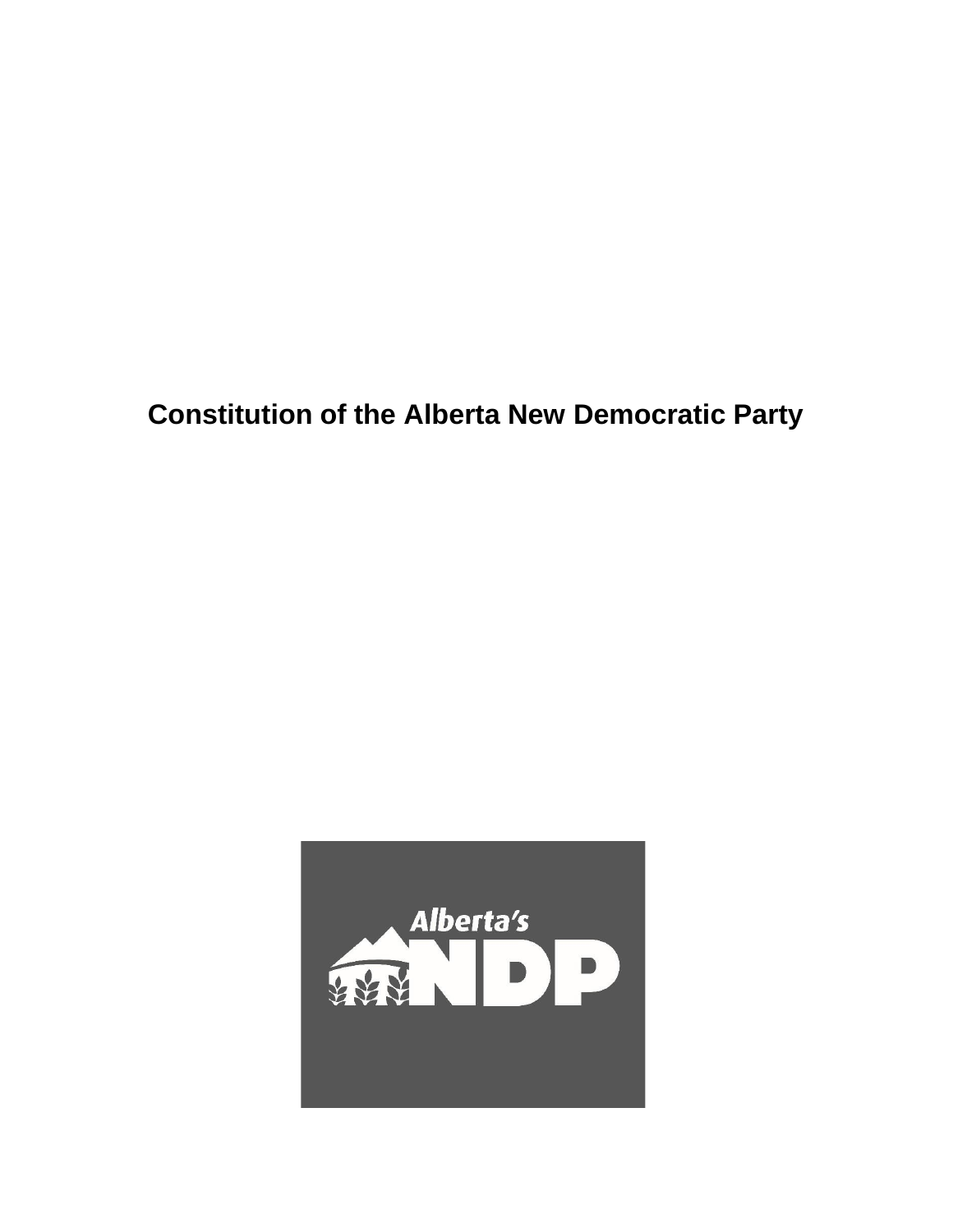**Constitution of the Alberta New Democratic Party**

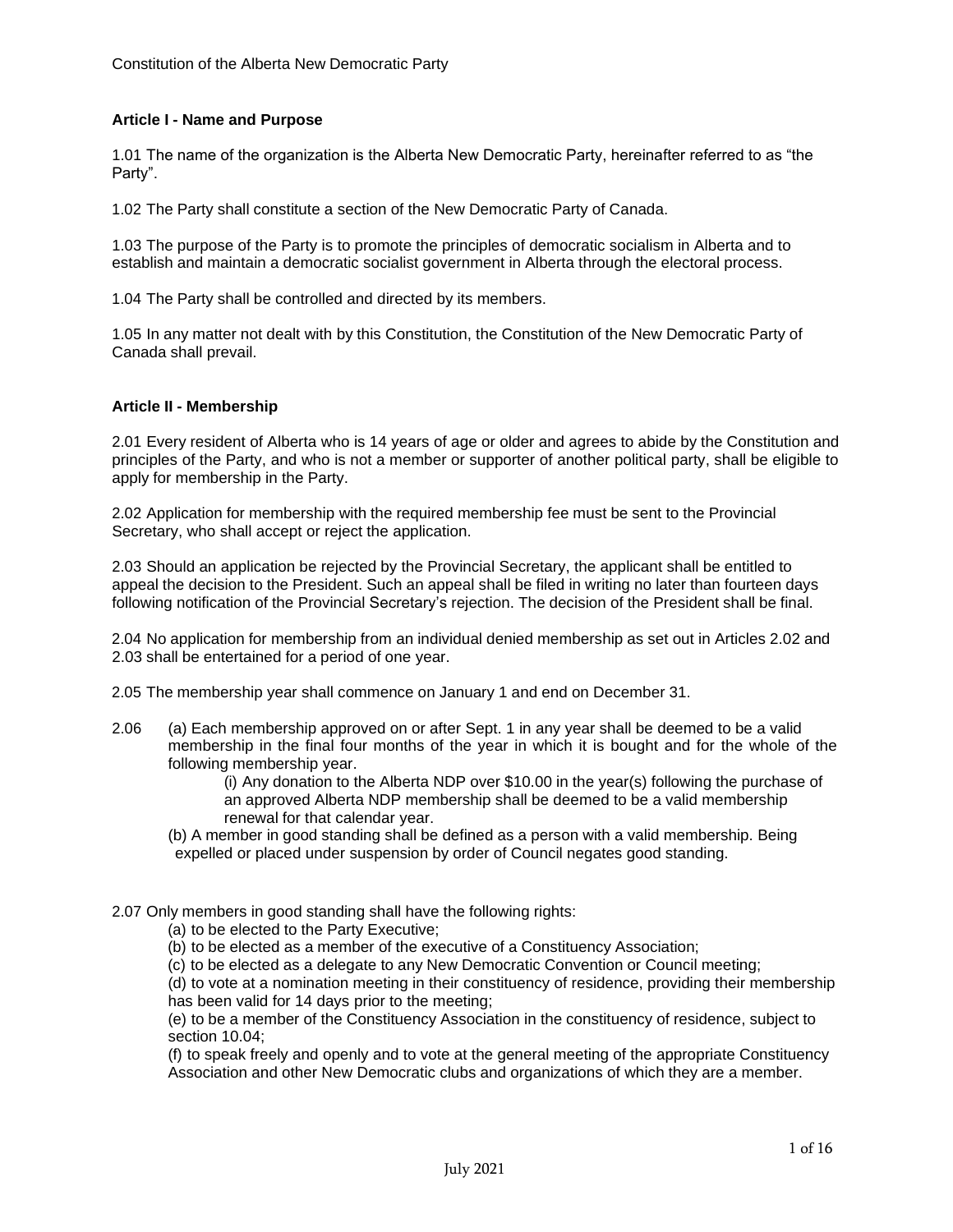## **Article I - Name and Purpose**

1.01 The name of the organization is the Alberta New Democratic Party, hereinafter referred to as "the Party".

1.02 The Party shall constitute a section of the New Democratic Party of Canada.

1.03 The purpose of the Party is to promote the principles of democratic socialism in Alberta and to establish and maintain a democratic socialist government in Alberta through the electoral process.

1.04 The Party shall be controlled and directed by its members.

1.05 In any matter not dealt with by this Constitution, the Constitution of the New Democratic Party of Canada shall prevail.

#### **Article II - Membership**

2.01 Every resident of Alberta who is 14 years of age or older and agrees to abide by the Constitution and principles of the Party, and who is not a member or supporter of another political party, shall be eligible to apply for membership in the Party.

2.02 Application for membership with the required membership fee must be sent to the Provincial Secretary, who shall accept or reject the application.

2.03 Should an application be rejected by the Provincial Secretary, the applicant shall be entitled to appeal the decision to the President. Such an appeal shall be filed in writing no later than fourteen days following notification of the Provincial Secretary's rejection. The decision of the President shall be final.

2.04 No application for membership from an individual denied membership as set out in Articles 2.02 and 2.03 shall be entertained for a period of one year.

2.05 The membership year shall commence on January 1 and end on December 31.

2.06 (a) Each membership approved on or after Sept. 1 in any year shall be deemed to be a valid membership in the final four months of the year in which it is bought and for the whole of the following membership year.

> (i) Any donation to the Alberta NDP over \$10.00 in the year(s) following the purchase of an approved Alberta NDP membership shall be deemed to be a valid membership renewal for that calendar year.

(b) A member in good standing shall be defined as a person with a valid membership. Being expelled or placed under suspension by order of Council negates good standing.

2.07 Only members in good standing shall have the following rights:

(a) to be elected to the Party Executive;

(b) to be elected as a member of the executive of a Constituency Association;

(c) to be elected as a delegate to any New Democratic Convention or Council meeting;

(d) to vote at a nomination meeting in their constituency of residence, providing their membership has been valid for 14 days prior to the meeting;

(e) to be a member of the Constituency Association in the constituency of residence, subject to section 10.04;

(f) to speak freely and openly and to vote at the general meeting of the appropriate Constituency Association and other New Democratic clubs and organizations of which they are a member.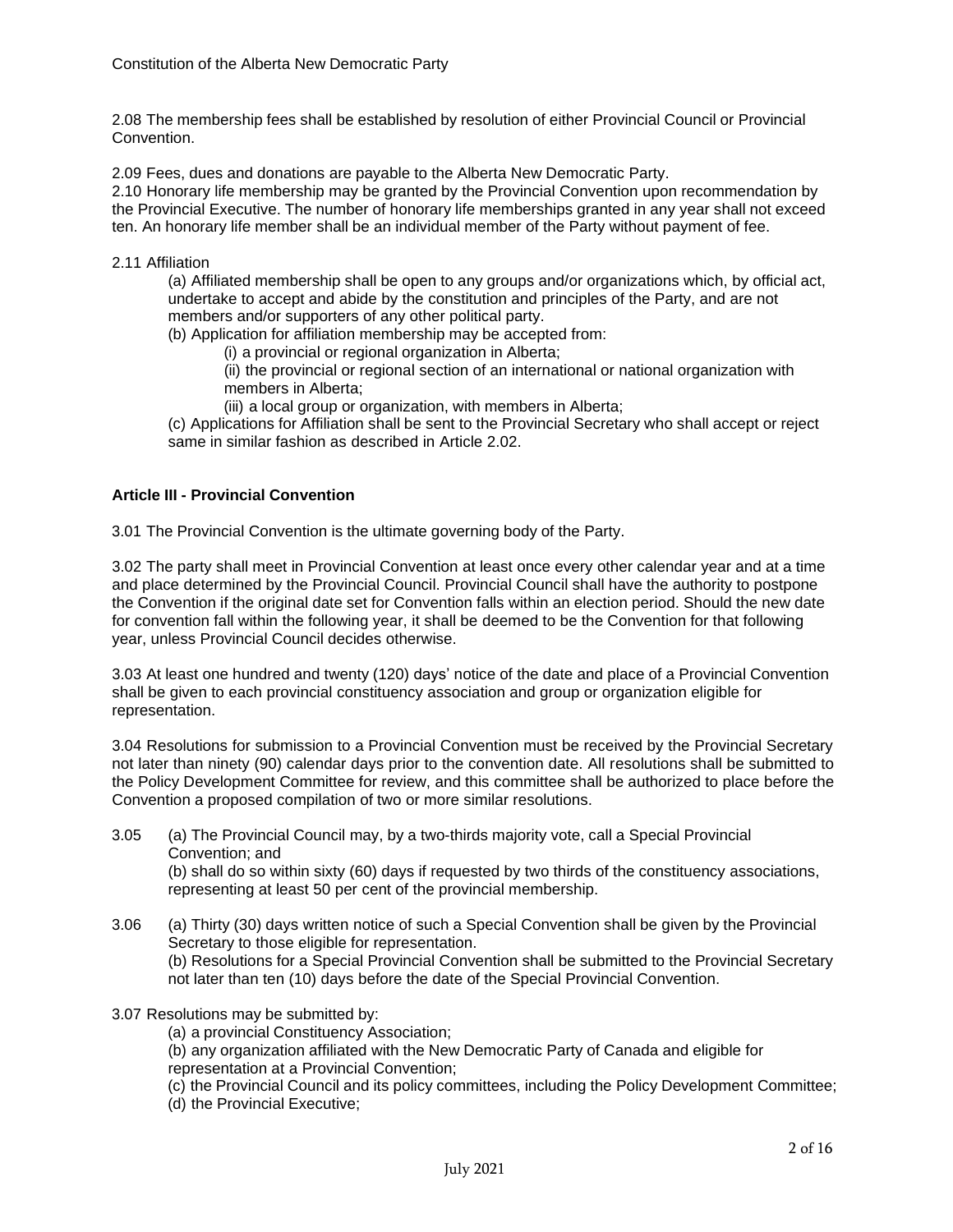2.08 The membership fees shall be established by resolution of either Provincial Council or Provincial Convention.

2.09 Fees, dues and donations are payable to the Alberta New Democratic Party.

2.10 Honorary life membership may be granted by the Provincial Convention upon recommendation by the Provincial Executive. The number of honorary life memberships granted in any year shall not exceed ten. An honorary life member shall be an individual member of the Party without payment of fee.

## 2.11 Affiliation

(a) Affiliated membership shall be open to any groups and/or organizations which, by official act, undertake to accept and abide by the constitution and principles of the Party, and are not members and/or supporters of any other political party.

(b) Application for affiliation membership may be accepted from:

(i) a provincial or regional organization in Alberta;

(ii) the provincial or regional section of an international or national organization with members in Alberta;

(iii) a local group or organization, with members in Alberta;

(c) Applications for Affiliation shall be sent to the Provincial Secretary who shall accept or reject same in similar fashion as described in Article 2.02.

## **Article III - Provincial Convention**

3.01 The Provincial Convention is the ultimate governing body of the Party.

3.02 The party shall meet in Provincial Convention at least once every other calendar year and at a time and place determined by the Provincial Council. Provincial Council shall have the authority to postpone the Convention if the original date set for Convention falls within an election period. Should the new date for convention fall within the following year, it shall be deemed to be the Convention for that following year, unless Provincial Council decides otherwise.

3.03 At least one hundred and twenty (120) days' notice of the date and place of a Provincial Convention shall be given to each provincial constituency association and group or organization eligible for representation.

3.04 Resolutions for submission to a Provincial Convention must be received by the Provincial Secretary not later than ninety (90) calendar days prior to the convention date. All resolutions shall be submitted to the Policy Development Committee for review, and this committee shall be authorized to place before the Convention a proposed compilation of two or more similar resolutions.

- 3.05 (a) The Provincial Council may, by a two-thirds majority vote, call a Special Provincial Convention; and (b) shall do so within sixty (60) days if requested by two thirds of the constituency associations, representing at least 50 per cent of the provincial membership.
- 3.06 (a) Thirty (30) days written notice of such a Special Convention shall be given by the Provincial Secretary to those eligible for representation. (b) Resolutions for a Special Provincial Convention shall be submitted to the Provincial Secretary not later than ten (10) days before the date of the Special Provincial Convention.

#### 3.07 Resolutions may be submitted by:

(a) a provincial Constituency Association;

(b) any organization affiliated with the New Democratic Party of Canada and eligible for representation at a Provincial Convention;

(c) the Provincial Council and its policy committees, including the Policy Development Committee; (d) the Provincial Executive;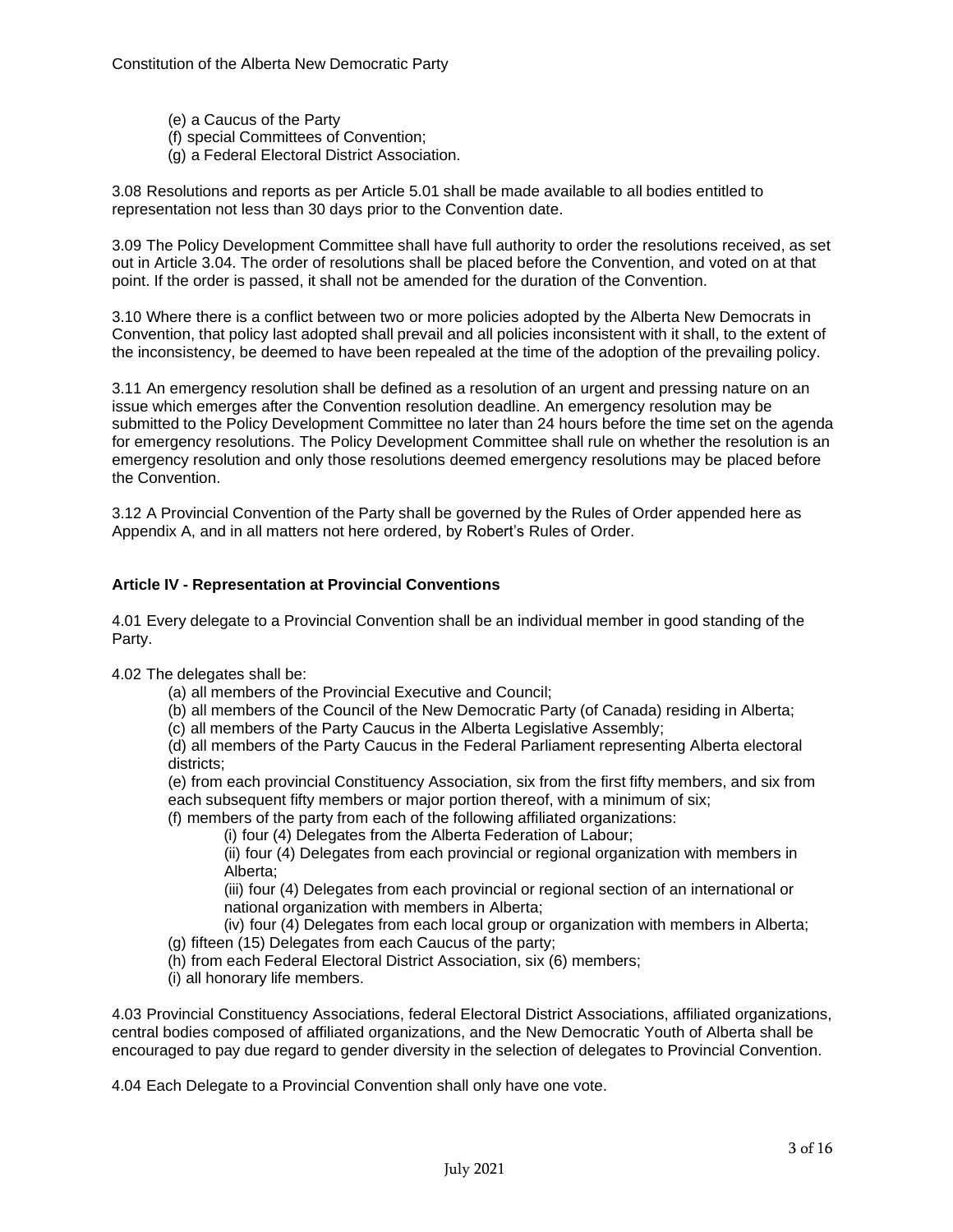- (e) a Caucus of the Party
- (f) special Committees of Convention;
- (g) a Federal Electoral District Association.

3.08 Resolutions and reports as per Article 5.01 shall be made available to all bodies entitled to representation not less than 30 days prior to the Convention date.

3.09 The Policy Development Committee shall have full authority to order the resolutions received, as set out in Article 3.04. The order of resolutions shall be placed before the Convention, and voted on at that point. If the order is passed, it shall not be amended for the duration of the Convention.

3.10 Where there is a conflict between two or more policies adopted by the Alberta New Democrats in Convention, that policy last adopted shall prevail and all policies inconsistent with it shall, to the extent of the inconsistency, be deemed to have been repealed at the time of the adoption of the prevailing policy.

3.11 An emergency resolution shall be defined as a resolution of an urgent and pressing nature on an issue which emerges after the Convention resolution deadline. An emergency resolution may be submitted to the Policy Development Committee no later than 24 hours before the time set on the agenda for emergency resolutions. The Policy Development Committee shall rule on whether the resolution is an emergency resolution and only those resolutions deemed emergency resolutions may be placed before the Convention.

3.12 A Provincial Convention of the Party shall be governed by the Rules of Order appended here as Appendix A, and in all matters not here ordered, by Robert's Rules of Order.

## **Article IV - Representation at Provincial Conventions**

4.01 Every delegate to a Provincial Convention shall be an individual member in good standing of the Party.

4.02 The delegates shall be:

- (a) all members of the Provincial Executive and Council;
- (b) all members of the Council of the New Democratic Party (of Canada) residing in Alberta;
- (c) all members of the Party Caucus in the Alberta Legislative Assembly;

(d) all members of the Party Caucus in the Federal Parliament representing Alberta electoral districts;

(e) from each provincial Constituency Association, six from the first fifty members, and six from each subsequent fifty members or major portion thereof, with a minimum of six;

(f) members of the party from each of the following affiliated organizations:

(i) four (4) Delegates from the Alberta Federation of Labour;

(ii) four (4) Delegates from each provincial or regional organization with members in Alberta;

(iii) four (4) Delegates from each provincial or regional section of an international or national organization with members in Alberta;

(iv) four (4) Delegates from each local group or organization with members in Alberta; (g) fifteen (15) Delegates from each Caucus of the party;

(h) from each Federal Electoral District Association, six (6) members;

(i) all honorary life members.

4.03 Provincial Constituency Associations, federal Electoral District Associations, affiliated organizations, central bodies composed of affiliated organizations, and the New Democratic Youth of Alberta shall be encouraged to pay due regard to gender diversity in the selection of delegates to Provincial Convention.

4.04 Each Delegate to a Provincial Convention shall only have one vote.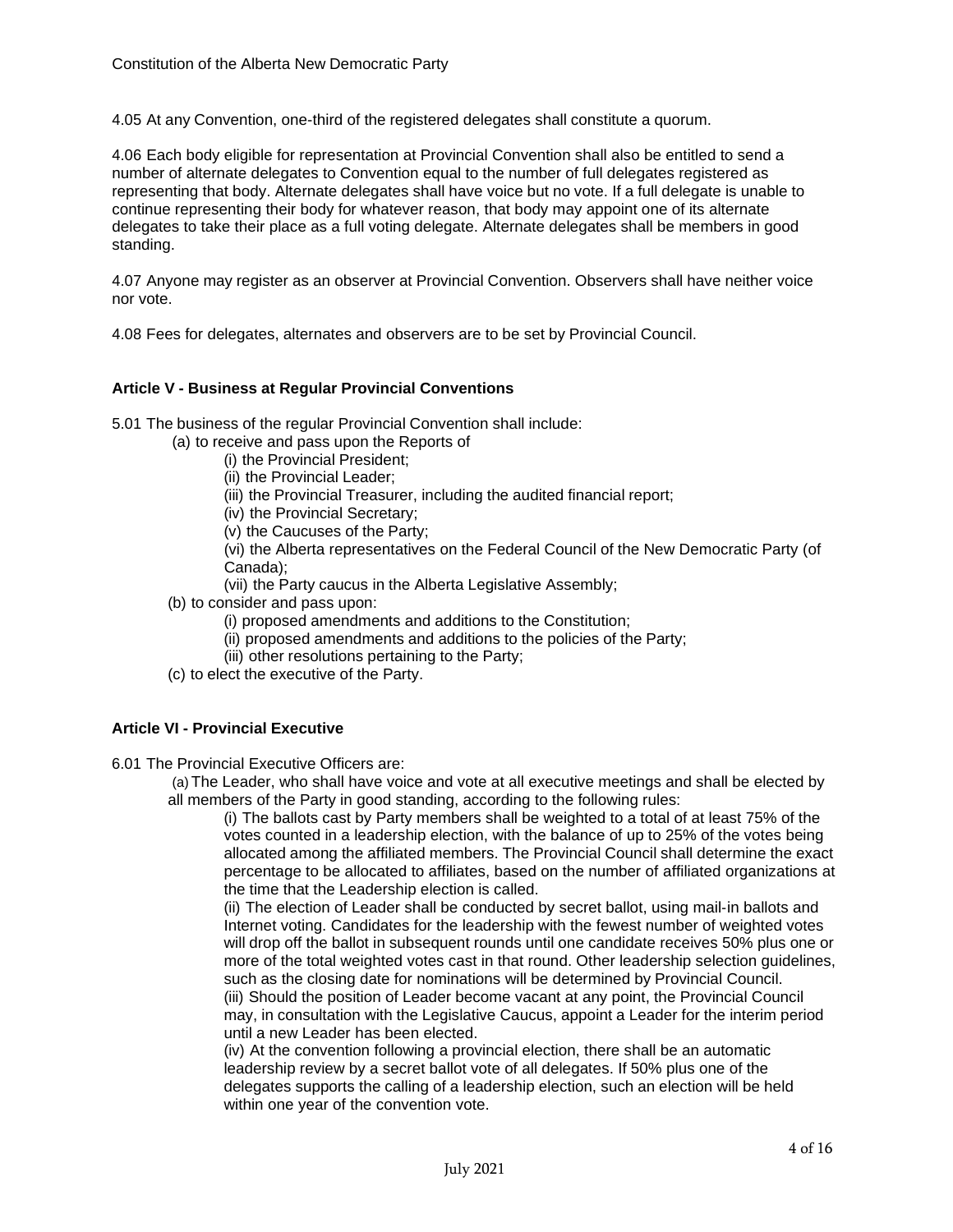4.05 At any Convention, one-third of the registered delegates shall constitute a quorum.

4.06 Each body eligible for representation at Provincial Convention shall also be entitled to send a number of alternate delegates to Convention equal to the number of full delegates registered as representing that body. Alternate delegates shall have voice but no vote. If a full delegate is unable to continue representing their body for whatever reason, that body may appoint one of its alternate delegates to take their place as a full voting delegate. Alternate delegates shall be members in good standing.

4.07 Anyone may register as an observer at Provincial Convention. Observers shall have neither voice nor vote.

4.08 Fees for delegates, alternates and observers are to be set by Provincial Council.

## **Article V - Business at Regular Provincial Conventions**

5.01 The business of the regular Provincial Convention shall include:

(a) to receive and pass upon the Reports of

- (i) the Provincial President;
- (ii) the Provincial Leader;
- (iii) the Provincial Treasurer, including the audited financial report;
- (iv) the Provincial Secretary;
- (v) the Caucuses of the Party;

(vi) the Alberta representatives on the Federal Council of the New Democratic Party (of Canada);

(vii) the Party caucus in the Alberta Legislative Assembly;

- (b) to consider and pass upon:
	- (i) proposed amendments and additions to the Constitution;
	- (ii) proposed amendments and additions to the policies of the Party;
	- (iii) other resolutions pertaining to the Party;
- (c) to elect the executive of the Party.

## **Article VI - Provincial Executive**

6.01 The Provincial Executive Officers are:

(a) The Leader, who shall have voice and vote at all executive meetings and shall be elected by all members of the Party in good standing, according to the following rules:

(i) The ballots cast by Party members shall be weighted to a total of at least 75% of the votes counted in a leadership election, with the balance of up to 25% of the votes being allocated among the affiliated members. The Provincial Council shall determine the exact percentage to be allocated to affiliates, based on the number of affiliated organizations at the time that the Leadership election is called.

(ii) The election of Leader shall be conducted by secret ballot, using mail‐in ballots and Internet voting. Candidates for the leadership with the fewest number of weighted votes will drop off the ballot in subsequent rounds until one candidate receives 50% plus one or more of the total weighted votes cast in that round. Other leadership selection guidelines, such as the closing date for nominations will be determined by Provincial Council. (iii) Should the position of Leader become vacant at any point, the Provincial Council

may, in consultation with the Legislative Caucus, appoint a Leader for the interim period until a new Leader has been elected.

(iv) At the convention following a provincial election, there shall be an automatic leadership review by a secret ballot vote of all delegates. If 50% plus one of the delegates supports the calling of a leadership election, such an election will be held within one year of the convention vote.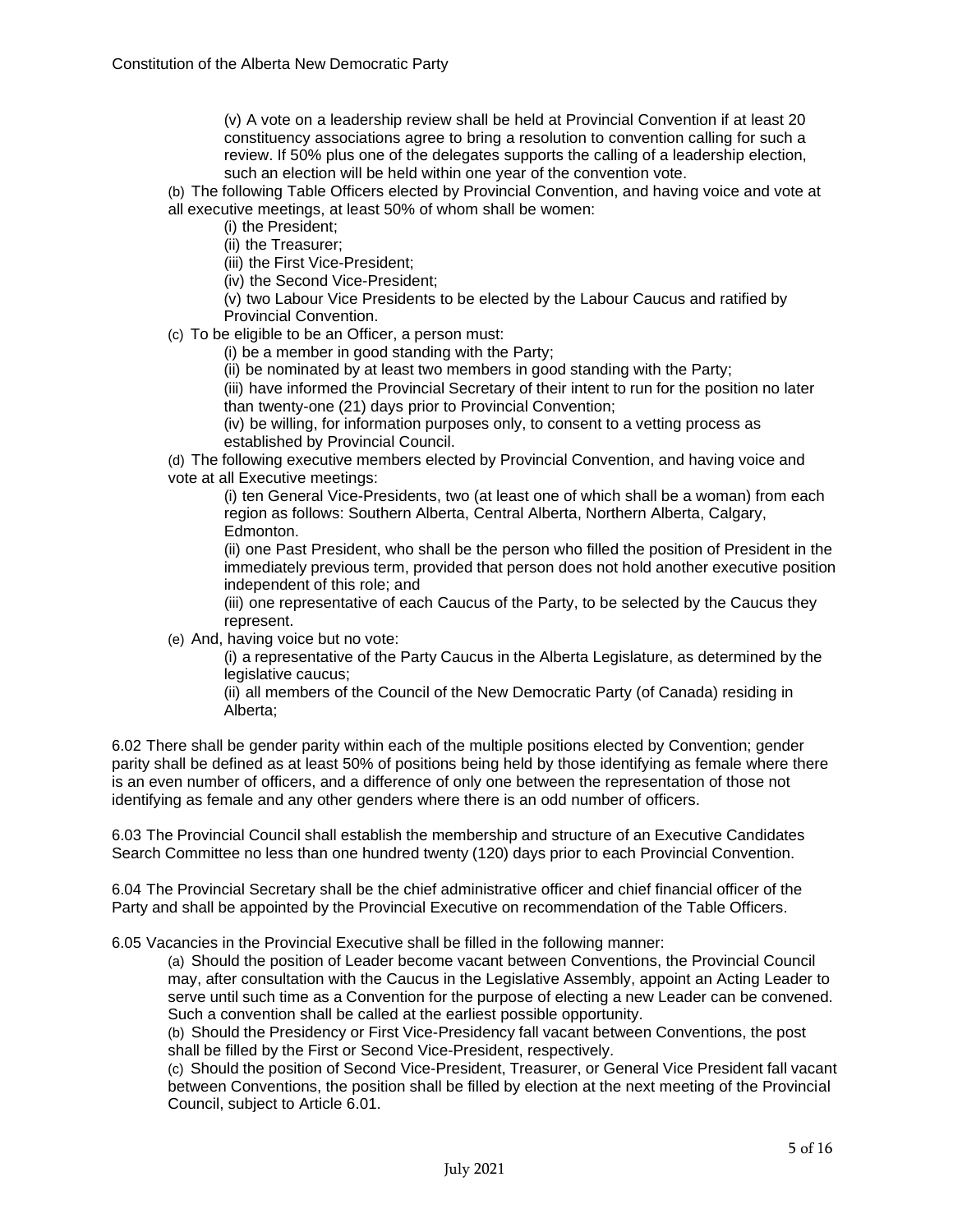(v) A vote on a leadership review shall be held at Provincial Convention if at least 20 constituency associations agree to bring a resolution to convention calling for such a review. If 50% plus one of the delegates supports the calling of a leadership election, such an election will be held within one year of the convention vote.

(b) The following Table Officers elected by Provincial Convention, and having voice and vote at all executive meetings, at least 50% of whom shall be women:

(i) the President;

(ii) the Treasurer;

(iii) the First Vice-President;

(iv) the Second Vice-President;

(v) two Labour Vice Presidents to be elected by the Labour Caucus and ratified by Provincial Convention.

(c) To be eligible to be an Officer, a person must:

(i) be a member in good standing with the Party;

(ii) be nominated by at least two members in good standing with the Party;

(iii) have informed the Provincial Secretary of their intent to run for the position no later than twenty-one (21) days prior to Provincial Convention;

(iv) be willing, for information purposes only, to consent to a vetting process as established by Provincial Council.

(d) The following executive members elected by Provincial Convention, and having voice and vote at all Executive meetings:

(i) ten General Vice-Presidents, two (at least one of which shall be a woman) from each region as follows: Southern Alberta, Central Alberta, Northern Alberta, Calgary, Edmonton.

(ii) one Past President, who shall be the person who filled the position of President in the immediately previous term, provided that person does not hold another executive position independent of this role; and

(iii) one representative of each Caucus of the Party, to be selected by the Caucus they represent.

(e) And, having voice but no vote:

(i) a representative of the Party Caucus in the Alberta Legislature, as determined by the legislative caucus;

(ii) all members of the Council of the New Democratic Party (of Canada) residing in Alberta;

6.02 There shall be gender parity within each of the multiple positions elected by Convention; gender parity shall be defined as at least 50% of positions being held by those identifying as female where there is an even number of officers, and a difference of only one between the representation of those not identifying as female and any other genders where there is an odd number of officers.

6.03 The Provincial Council shall establish the membership and structure of an Executive Candidates Search Committee no less than one hundred twenty (120) days prior to each Provincial Convention.

6.04 The Provincial Secretary shall be the chief administrative officer and chief financial officer of the Party and shall be appointed by the Provincial Executive on recommendation of the Table Officers.

6.05 Vacancies in the Provincial Executive shall be filled in the following manner:

(a) Should the position of Leader become vacant between Conventions, the Provincial Council may, after consultation with the Caucus in the Legislative Assembly, appoint an Acting Leader to serve until such time as a Convention for the purpose of electing a new Leader can be convened. Such a convention shall be called at the earliest possible opportunity.

(b) Should the Presidency or First Vice-Presidency fall vacant between Conventions, the post shall be filled by the First or Second Vice-President, respectively.

(c) Should the position of Second Vice-President, Treasurer, or General Vice President fall vacant between Conventions, the position shall be filled by election at the next meeting of the Provincial Council, subject to Article 6.01.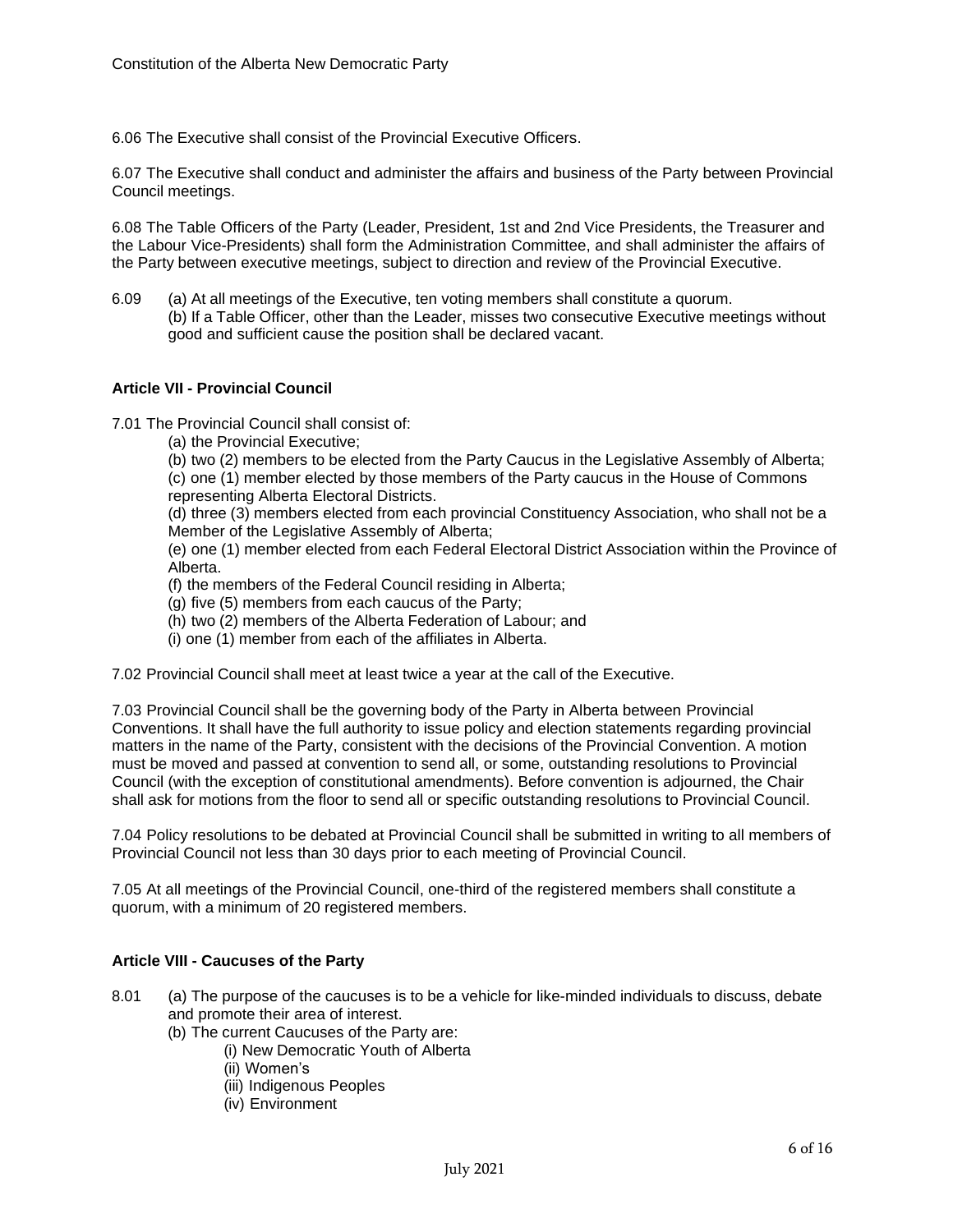6.06 The Executive shall consist of the Provincial Executive Officers.

6.07 The Executive shall conduct and administer the affairs and business of the Party between Provincial Council meetings.

6.08 The Table Officers of the Party (Leader, President, 1st and 2nd Vice Presidents, the Treasurer and the Labour Vice-Presidents) shall form the Administration Committee, and shall administer the affairs of the Party between executive meetings, subject to direction and review of the Provincial Executive.

6.09 (a) At all meetings of the Executive, ten voting members shall constitute a quorum. (b) If a Table Officer, other than the Leader, misses two consecutive Executive meetings without good and sufficient cause the position shall be declared vacant.

## **Article VII - Provincial Council**

7.01 The Provincial Council shall consist of:

(a) the Provincial Executive;

(b) two (2) members to be elected from the Party Caucus in the Legislative Assembly of Alberta; (c) one (1) member elected by those members of the Party caucus in the House of Commons representing Alberta Electoral Districts.

(d) three (3) members elected from each provincial Constituency Association, who shall not be a Member of the Legislative Assembly of Alberta;

(e) one (1) member elected from each Federal Electoral District Association within the Province of Alberta.

(f) the members of the Federal Council residing in Alberta;

- (g) five (5) members from each caucus of the Party;
- (h) two (2) members of the Alberta Federation of Labour; and
- (i) one (1) member from each of the affiliates in Alberta.

7.02 Provincial Council shall meet at least twice a year at the call of the Executive.

7.03 Provincial Council shall be the governing body of the Party in Alberta between Provincial Conventions. It shall have the full authority to issue policy and election statements regarding provincial matters in the name of the Party, consistent with the decisions of the Provincial Convention. A motion must be moved and passed at convention to send all, or some, outstanding resolutions to Provincial Council (with the exception of constitutional amendments). Before convention is adjourned, the Chair shall ask for motions from the floor to send all or specific outstanding resolutions to Provincial Council.

7.04 Policy resolutions to be debated at Provincial Council shall be submitted in writing to all members of Provincial Council not less than 30 days prior to each meeting of Provincial Council.

7.05 At all meetings of the Provincial Council, one-third of the registered members shall constitute a quorum, with a minimum of 20 registered members.

#### **Article VIII - Caucuses of the Party**

- 8.01 (a) The purpose of the caucuses is to be a vehicle for like-minded individuals to discuss, debate and promote their area of interest.
	- (b) The current Caucuses of the Party are:
		- (i) New Democratic Youth of Alberta
		- (ii) Women's
		- (iii) Indigenous Peoples
		- (iv) Environment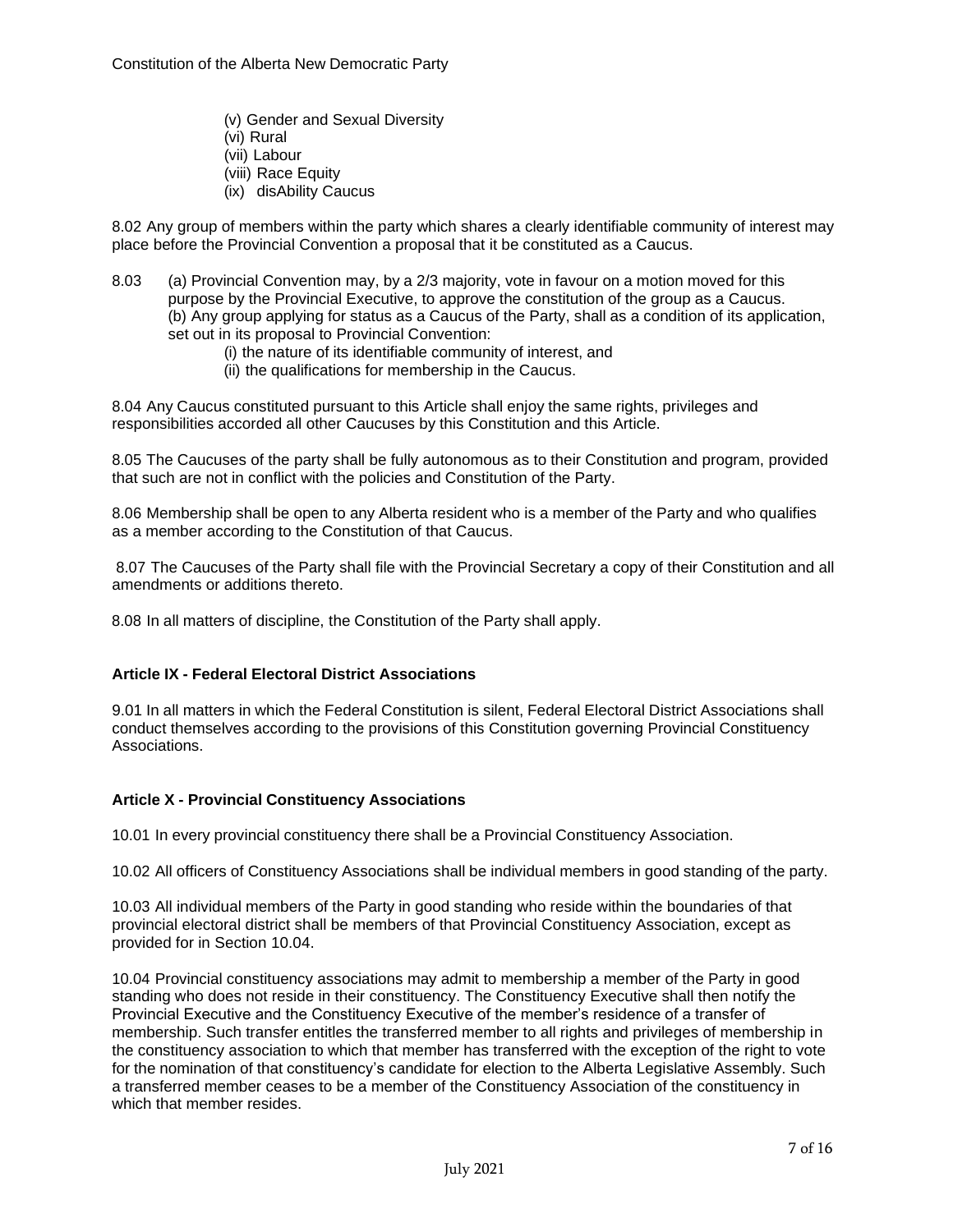Constitution of the Alberta New Democratic Party

- (v) Gender and Sexual Diversity
- (vi) Rural
- (vii) Labour
- (viii) Race Equity
- (ix) disAbility Caucus

8.02 Any group of members within the party which shares a clearly identifiable community of interest may place before the Provincial Convention a proposal that it be constituted as a Caucus.

- 8.03 (a) Provincial Convention may, by a 2/3 majority, vote in favour on a motion moved for this purpose by the Provincial Executive, to approve the constitution of the group as a Caucus. (b) Any group applying for status as a Caucus of the Party, shall as a condition of its application, set out in its proposal to Provincial Convention:
	- (i) the nature of its identifiable community of interest, and
	- (ii) the qualifications for membership in the Caucus.

8.04 Any Caucus constituted pursuant to this Article shall enjoy the same rights, privileges and responsibilities accorded all other Caucuses by this Constitution and this Article.

8.05 The Caucuses of the party shall be fully autonomous as to their Constitution and program, provided that such are not in conflict with the policies and Constitution of the Party.

8.06 Membership shall be open to any Alberta resident who is a member of the Party and who qualifies as a member according to the Constitution of that Caucus.

8.07 The Caucuses of the Party shall file with the Provincial Secretary a copy of their Constitution and all amendments or additions thereto.

8.08 In all matters of discipline, the Constitution of the Party shall apply.

## **Article IX - Federal Electoral District Associations**

9.01 In all matters in which the Federal Constitution is silent, Federal Electoral District Associations shall conduct themselves according to the provisions of this Constitution governing Provincial Constituency Associations.

## **Article X - Provincial Constituency Associations**

10.01 In every provincial constituency there shall be a Provincial Constituency Association.

10.02 All officers of Constituency Associations shall be individual members in good standing of the party.

10.03 All individual members of the Party in good standing who reside within the boundaries of that provincial electoral district shall be members of that Provincial Constituency Association, except as provided for in Section 10.04.

10.04 Provincial constituency associations may admit to membership a member of the Party in good standing who does not reside in their constituency. The Constituency Executive shall then notify the Provincial Executive and the Constituency Executive of the member's residence of a transfer of membership. Such transfer entitles the transferred member to all rights and privileges of membership in the constituency association to which that member has transferred with the exception of the right to vote for the nomination of that constituency's candidate for election to the Alberta Legislative Assembly. Such a transferred member ceases to be a member of the Constituency Association of the constituency in which that member resides.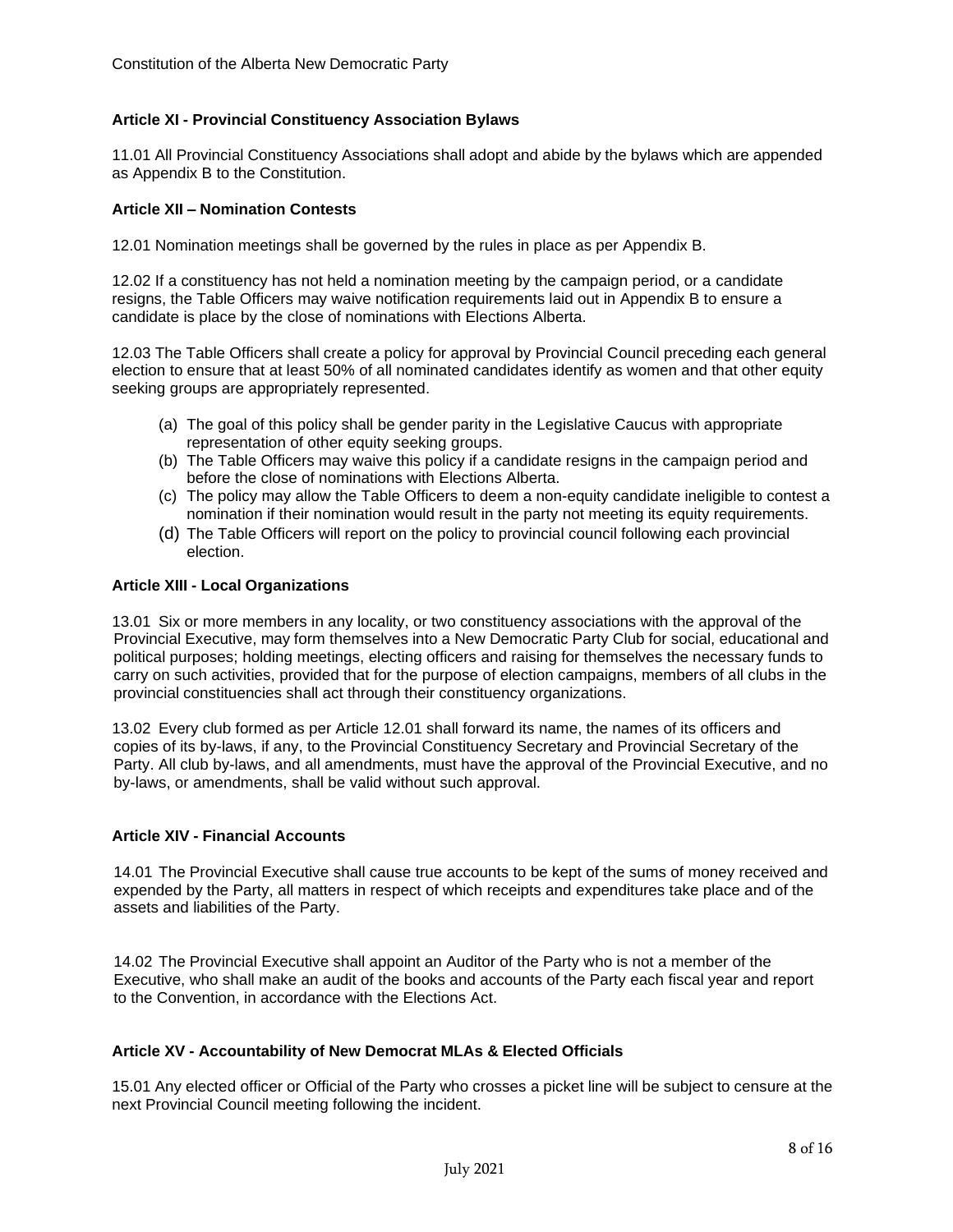## **Article XI - Provincial Constituency Association Bylaws**

11.01 All Provincial Constituency Associations shall adopt and abide by the bylaws which are appended as Appendix B to the Constitution.

#### **Article XII – Nomination Contests**

12.01 Nomination meetings shall be governed by the rules in place as per Appendix B.

12.02 If a constituency has not held a nomination meeting by the campaign period, or a candidate resigns, the Table Officers may waive notification requirements laid out in Appendix B to ensure a candidate is place by the close of nominations with Elections Alberta.

12.03 The Table Officers shall create a policy for approval by Provincial Council preceding each general election to ensure that at least 50% of all nominated candidates identify as women and that other equity seeking groups are appropriately represented.

- (a) The goal of this policy shall be gender parity in the Legislative Caucus with appropriate representation of other equity seeking groups.
- (b) The Table Officers may waive this policy if a candidate resigns in the campaign period and before the close of nominations with Elections Alberta.
- (c) The policy may allow the Table Officers to deem a non-equity candidate ineligible to contest a nomination if their nomination would result in the party not meeting its equity requirements.
- (d) The Table Officers will report on the policy to provincial council following each provincial election.

#### **Article XIII - Local Organizations**

13.01 Six or more members in any locality, or two constituency associations with the approval of the Provincial Executive, may form themselves into a New Democratic Party Club for social, educational and political purposes; holding meetings, electing officers and raising for themselves the necessary funds to carry on such activities, provided that for the purpose of election campaigns, members of all clubs in the provincial constituencies shall act through their constituency organizations.

13.02 Every club formed as per Article 12.01 shall forward its name, the names of its officers and copies of its by-laws, if any, to the Provincial Constituency Secretary and Provincial Secretary of the Party. All club by-laws, and all amendments, must have the approval of the Provincial Executive, and no by-laws, or amendments, shall be valid without such approval.

#### **Article XIV - Financial Accounts**

14.01 The Provincial Executive shall cause true accounts to be kept of the sums of money received and expended by the Party, all matters in respect of which receipts and expenditures take place and of the assets and liabilities of the Party.

14.02 The Provincial Executive shall appoint an Auditor of the Party who is not a member of the Executive, who shall make an audit of the books and accounts of the Party each fiscal year and report to the Convention, in accordance with the Elections Act.

#### **Article XV - Accountability of New Democrat MLAs & Elected Officials**

15.01 Any elected officer or Official of the Party who crosses a picket line will be subject to censure at the next Provincial Council meeting following the incident.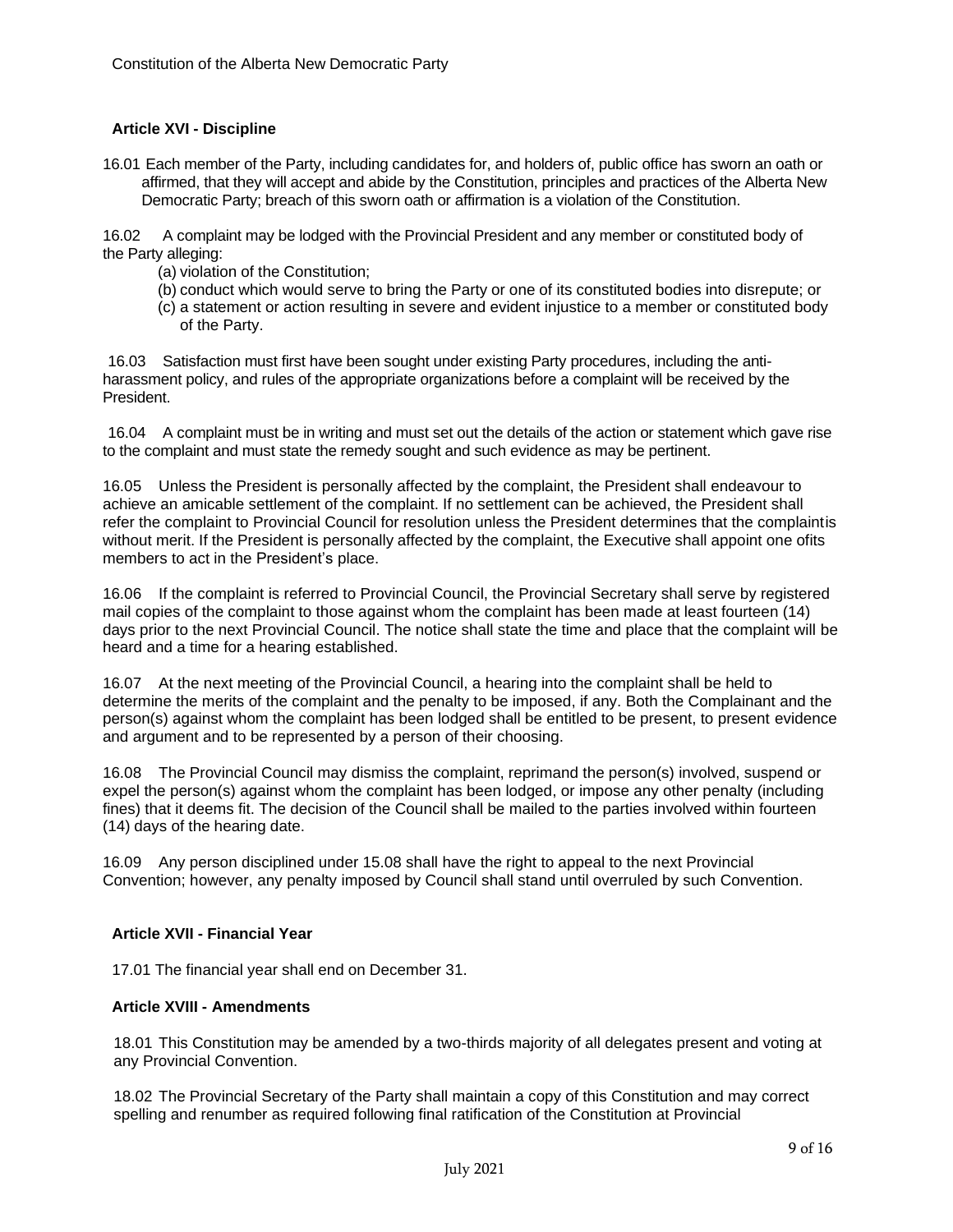## **Article XVI - Discipline**

16.01 Each member of the Party, including candidates for, and holders of, public office has sworn an oath or affirmed, that they will accept and abide by the Constitution, principles and practices of the Alberta New Democratic Party; breach of this sworn oath or affirmation is a violation of the Constitution.

16.02 A complaint may be lodged with the Provincial President and any member or constituted body of the Party alleging:

- (a) violation of the Constitution;
- (b) conduct which would serve to bring the Party or one of its constituted bodies into disrepute; or
- (c) a statement or action resulting in severe and evident injustice to a member or constituted body of the Party.

16.03 Satisfaction must first have been sought under existing Party procedures, including the antiharassment policy, and rules of the appropriate organizations before a complaint will be received by the President.

16.04 A complaint must be in writing and must set out the details of the action or statement which gave rise to the complaint and must state the remedy sought and such evidence as may be pertinent.

16.05 Unless the President is personally affected by the complaint, the President shall endeavour to achieve an amicable settlement of the complaint. If no settlement can be achieved, the President shall refer the complaint to Provincial Council for resolution unless the President determines that the complaintis without merit. If the President is personally affected by the complaint, the Executive shall appoint one ofits members to act in the President's place.

16.06 If the complaint is referred to Provincial Council, the Provincial Secretary shall serve by registered mail copies of the complaint to those against whom the complaint has been made at least fourteen (14) days prior to the next Provincial Council. The notice shall state the time and place that the complaint will be heard and a time for a hearing established.

16.07 At the next meeting of the Provincial Council, a hearing into the complaint shall be held to determine the merits of the complaint and the penalty to be imposed, if any. Both the Complainant and the person(s) against whom the complaint has been lodged shall be entitled to be present, to present evidence and argument and to be represented by a person of their choosing.

16.08 The Provincial Council may dismiss the complaint, reprimand the person(s) involved, suspend or expel the person(s) against whom the complaint has been lodged, or impose any other penalty (including fines) that it deems fit. The decision of the Council shall be mailed to the parties involved within fourteen (14) days of the hearing date.

16.09 Any person disciplined under 15.08 shall have the right to appeal to the next Provincial Convention; however, any penalty imposed by Council shall stand until overruled by such Convention.

#### **Article XVII - Financial Year**

17.01 The financial year shall end on December 31.

#### **Article XVIII - Amendments**

18.01 This Constitution may be amended by a two-thirds majority of all delegates present and voting at any Provincial Convention.

18.02 The Provincial Secretary of the Party shall maintain a copy of this Constitution and may correct spelling and renumber as required following final ratification of the Constitution at Provincial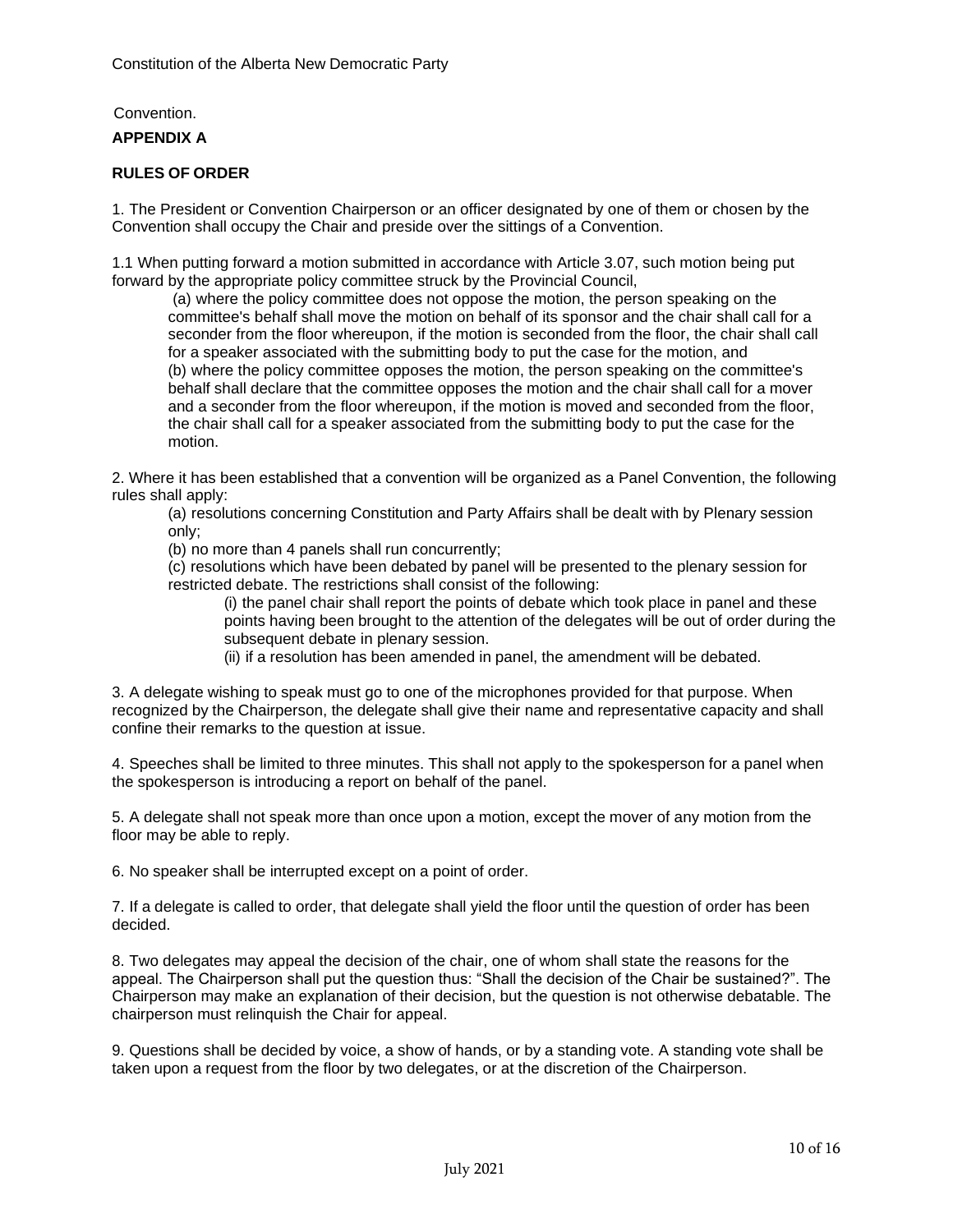# Convention. **APPENDIX A**

## **RULES OF ORDER**

1. The President or Convention Chairperson or an officer designated by one of them or chosen by the Convention shall occupy the Chair and preside over the sittings of a Convention.

1.1 When putting forward a motion submitted in accordance with Article 3.07, such motion being put forward by the appropriate policy committee struck by the Provincial Council,

(a) where the policy committee does not oppose the motion, the person speaking on the committee's behalf shall move the motion on behalf of its sponsor and the chair shall call for a seconder from the floor whereupon, if the motion is seconded from the floor, the chair shall call for a speaker associated with the submitting body to put the case for the motion, and (b) where the policy committee opposes the motion, the person speaking on the committee's behalf shall declare that the committee opposes the motion and the chair shall call for a mover and a seconder from the floor whereupon, if the motion is moved and seconded from the floor, the chair shall call for a speaker associated from the submitting body to put the case for the motion.

2. Where it has been established that a convention will be organized as a Panel Convention, the following rules shall apply:

(a) resolutions concerning Constitution and Party Affairs shall be dealt with by Plenary session only;

(b) no more than 4 panels shall run concurrently;

(c) resolutions which have been debated by panel will be presented to the plenary session for restricted debate. The restrictions shall consist of the following:

(i) the panel chair shall report the points of debate which took place in panel and these points having been brought to the attention of the delegates will be out of order during the subsequent debate in plenary session.

(ii) if a resolution has been amended in panel, the amendment will be debated.

3. A delegate wishing to speak must go to one of the microphones provided for that purpose. When recognized by the Chairperson, the delegate shall give their name and representative capacity and shall confine their remarks to the question at issue.

4. Speeches shall be limited to three minutes. This shall not apply to the spokesperson for a panel when the spokesperson is introducing a report on behalf of the panel.

5. A delegate shall not speak more than once upon a motion, except the mover of any motion from the floor may be able to reply.

6. No speaker shall be interrupted except on a point of order.

7. If a delegate is called to order, that delegate shall yield the floor until the question of order has been decided.

8. Two delegates may appeal the decision of the chair, one of whom shall state the reasons for the appeal. The Chairperson shall put the question thus: "Shall the decision of the Chair be sustained?". The Chairperson may make an explanation of their decision, but the question is not otherwise debatable. The chairperson must relinquish the Chair for appeal.

9. Questions shall be decided by voice, a show of hands, or by a standing vote. A standing vote shall be taken upon a request from the floor by two delegates, or at the discretion of the Chairperson.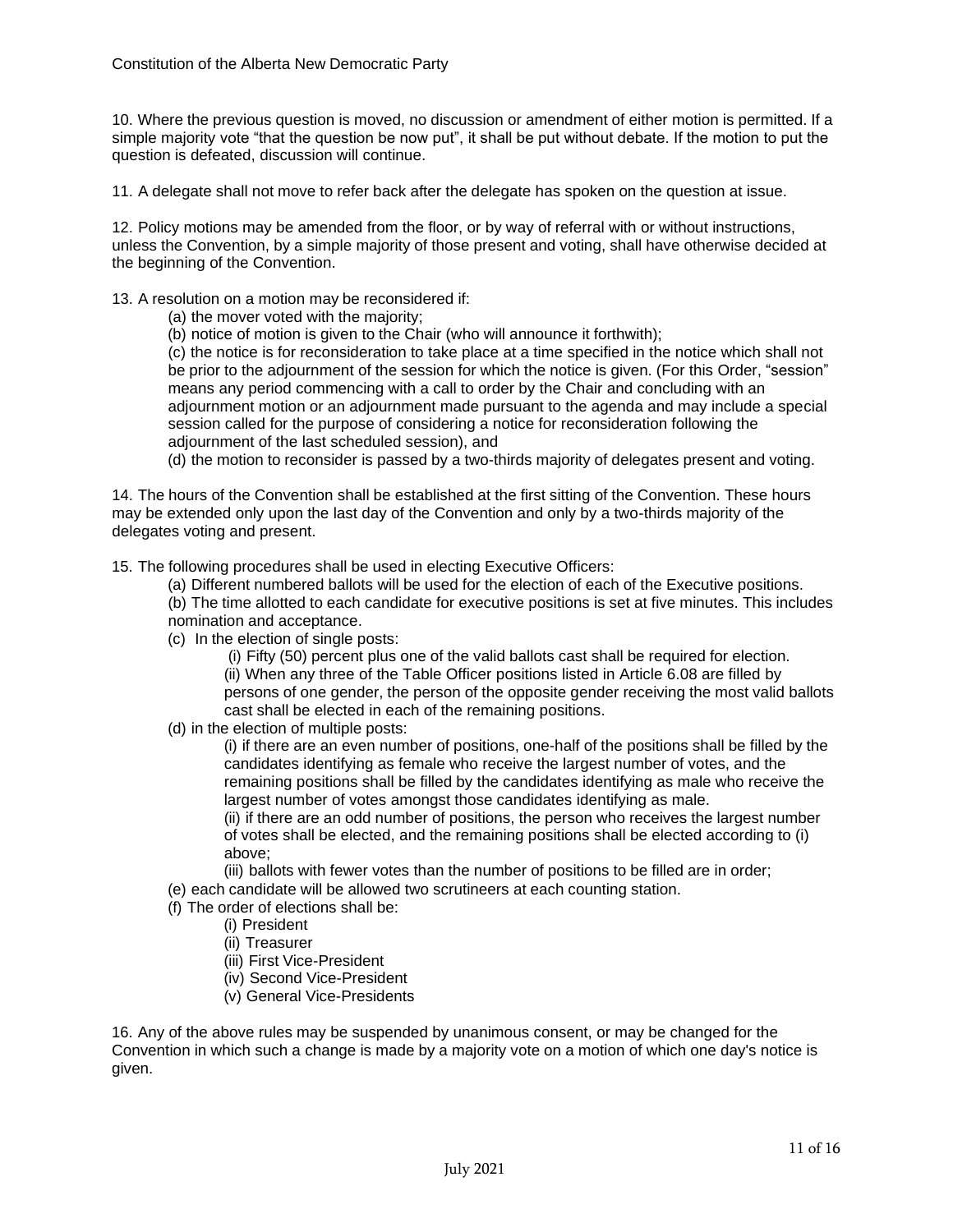10. Where the previous question is moved, no discussion or amendment of either motion is permitted. If a simple majority vote "that the question be now put", it shall be put without debate. If the motion to put the question is defeated, discussion will continue.

11. A delegate shall not move to refer back after the delegate has spoken on the question at issue.

12. Policy motions may be amended from the floor, or by way of referral with or without instructions, unless the Convention, by a simple majority of those present and voting, shall have otherwise decided at the beginning of the Convention.

13. A resolution on a motion may be reconsidered if:

- (a) the mover voted with the majority;
- (b) notice of motion is given to the Chair (who will announce it forthwith);

(c) the notice is for reconsideration to take place at a time specified in the notice which shall not be prior to the adjournment of the session for which the notice is given. (For this Order, "session" means any period commencing with a call to order by the Chair and concluding with an adjournment motion or an adjournment made pursuant to the agenda and may include a special session called for the purpose of considering a notice for reconsideration following the adjournment of the last scheduled session), and

(d) the motion to reconsider is passed by a two-thirds majority of delegates present and voting.

14. The hours of the Convention shall be established at the first sitting of the Convention. These hours may be extended only upon the last day of the Convention and only by a two-thirds majority of the delegates voting and present.

15. The following procedures shall be used in electing Executive Officers:

- (a) Different numbered ballots will be used for the election of each of the Executive positions.
- (b) The time allotted to each candidate for executive positions is set at five minutes. This includes nomination and acceptance.
- (c) In the election of single posts:

(i) Fifty (50) percent plus one of the valid ballots cast shall be required for election. (ii) When any three of the Table Officer positions listed in Article 6.08 are filled by persons of one gender, the person of the opposite gender receiving the most valid ballots cast shall be elected in each of the remaining positions.

(d) in the election of multiple posts:

(i) if there are an even number of positions, one-half of the positions shall be filled by the candidates identifying as female who receive the largest number of votes, and the remaining positions shall be filled by the candidates identifying as male who receive the largest number of votes amongst those candidates identifying as male.

(ii) if there are an odd number of positions, the person who receives the largest number of votes shall be elected, and the remaining positions shall be elected according to (i) above;

- (iii) ballots with fewer votes than the number of positions to be filled are in order;
- (e) each candidate will be allowed two scrutineers at each counting station.
- (f) The order of elections shall be:
	- (i) President
	- (ii) Treasurer
	- (iii) First Vice-President
	- (iv) Second Vice-President
	- (v) General Vice-Presidents

16. Any of the above rules may be suspended by unanimous consent, or may be changed for the Convention in which such a change is made by a majority vote on a motion of which one day's notice is given.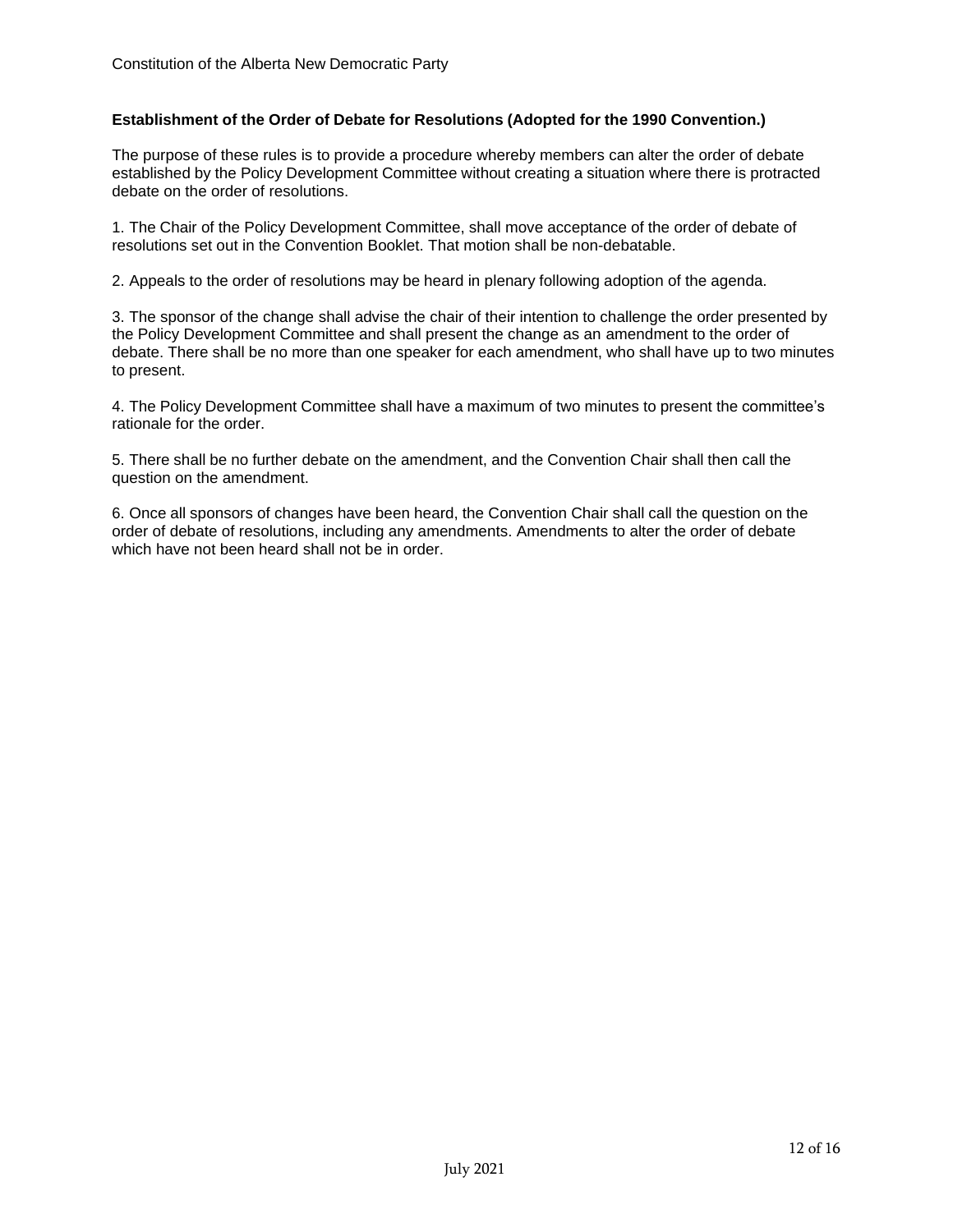## **Establishment of the Order of Debate for Resolutions (Adopted for the 1990 Convention.)**

The purpose of these rules is to provide a procedure whereby members can alter the order of debate established by the Policy Development Committee without creating a situation where there is protracted debate on the order of resolutions.

1. The Chair of the Policy Development Committee, shall move acceptance of the order of debate of resolutions set out in the Convention Booklet. That motion shall be non-debatable.

2. Appeals to the order of resolutions may be heard in plenary following adoption of the agenda.

3. The sponsor of the change shall advise the chair of their intention to challenge the order presented by the Policy Development Committee and shall present the change as an amendment to the order of debate. There shall be no more than one speaker for each amendment, who shall have up to two minutes to present.

4. The Policy Development Committee shall have a maximum of two minutes to present the committee's rationale for the order.

5. There shall be no further debate on the amendment, and the Convention Chair shall then call the question on the amendment.

6. Once all sponsors of changes have been heard, the Convention Chair shall call the question on the order of debate of resolutions, including any amendments. Amendments to alter the order of debate which have not been heard shall not be in order.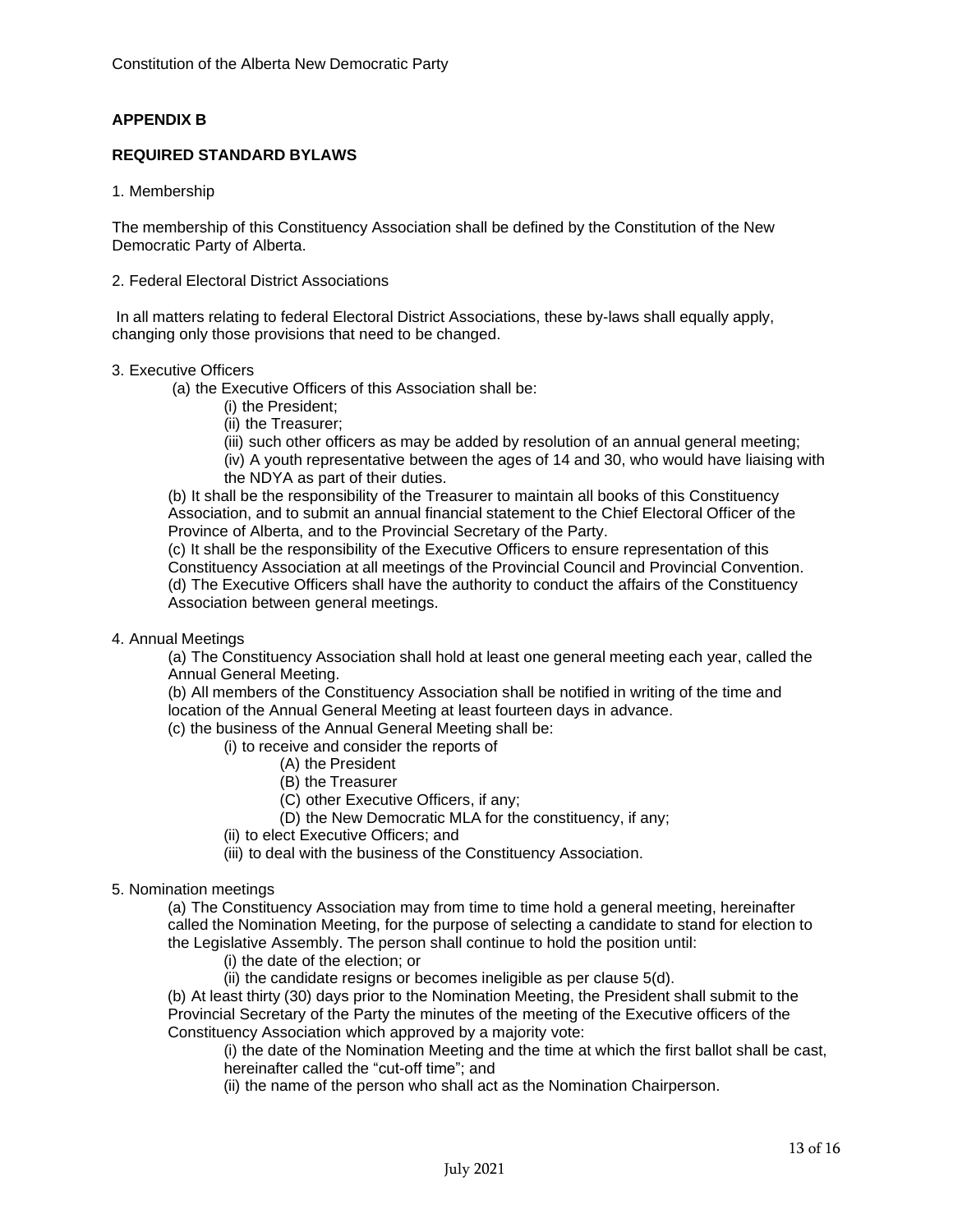## **APPENDIX B**

### **REQUIRED STANDARD BYLAWS**

1. Membership

The membership of this Constituency Association shall be defined by the Constitution of the New Democratic Party of Alberta.

2. Federal Electoral District Associations

In all matters relating to federal Electoral District Associations, these by-laws shall equally apply, changing only those provisions that need to be changed.

#### 3. Executive Officers

(a) the Executive Officers of this Association shall be:

- (i) the President;
- (ii) the Treasurer;
- (iii) such other officers as may be added by resolution of an annual general meeting;

(iv) A youth representative between the ages of 14 and 30, who would have liaising with the NDYA as part of their duties.

(b) It shall be the responsibility of the Treasurer to maintain all books of this Constituency Association, and to submit an annual financial statement to the Chief Electoral Officer of the Province of Alberta, and to the Provincial Secretary of the Party.

(c) It shall be the responsibility of the Executive Officers to ensure representation of this Constituency Association at all meetings of the Provincial Council and Provincial Convention. (d) The Executive Officers shall have the authority to conduct the affairs of the Constituency Association between general meetings.

4. Annual Meetings

(a) The Constituency Association shall hold at least one general meeting each year, called the Annual General Meeting.

(b) All members of the Constituency Association shall be notified in writing of the time and location of the Annual General Meeting at least fourteen days in advance.

- (c) the business of the Annual General Meeting shall be:
	- (i) to receive and consider the reports of
		- (A) the President
		- (B) the Treasurer
		- (C) other Executive Officers, if any;
		- (D) the New Democratic MLA for the constituency, if any;

(ii) to elect Executive Officers; and

(iii) to deal with the business of the Constituency Association.

#### 5. Nomination meetings

(a) The Constituency Association may from time to time hold a general meeting, hereinafter called the Nomination Meeting, for the purpose of selecting a candidate to stand for election to the Legislative Assembly. The person shall continue to hold the position until:

- (i) the date of the election; or
- (ii) the candidate resigns or becomes ineligible as per clause 5(d).

(b) At least thirty (30) days prior to the Nomination Meeting, the President shall submit to the Provincial Secretary of the Party the minutes of the meeting of the Executive officers of the Constituency Association which approved by a majority vote:

(i) the date of the Nomination Meeting and the time at which the first ballot shall be cast, hereinafter called the "cut-off time"; and

(ii) the name of the person who shall act as the Nomination Chairperson.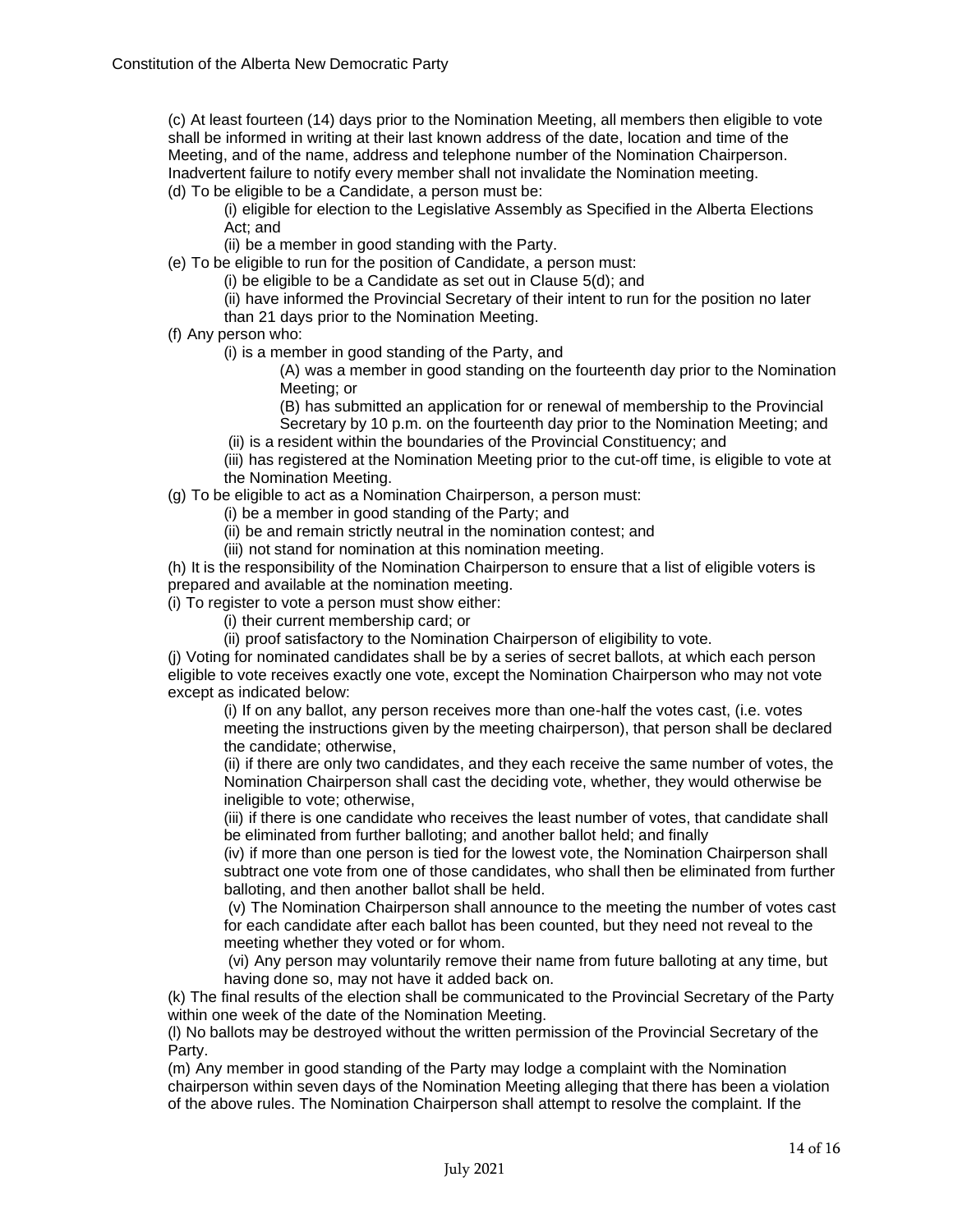(c) At least fourteen (14) days prior to the Nomination Meeting, all members then eligible to vote shall be informed in writing at their last known address of the date, location and time of the Meeting, and of the name, address and telephone number of the Nomination Chairperson. Inadvertent failure to notify every member shall not invalidate the Nomination meeting.

(d) To be eligible to be a Candidate, a person must be:

(i) eligible for election to the Legislative Assembly as Specified in the Alberta Elections Act; and

(ii) be a member in good standing with the Party.

(e) To be eligible to run for the position of Candidate, a person must:

(i) be eligible to be a Candidate as set out in Clause 5(d); and

(ii) have informed the Provincial Secretary of their intent to run for the position no later than 21 days prior to the Nomination Meeting.

#### (f) Any person who:

(i) is a member in good standing of the Party, and

(A) was a member in good standing on the fourteenth day prior to the Nomination Meeting; or

(B) has submitted an application for or renewal of membership to the Provincial Secretary by 10 p.m. on the fourteenth day prior to the Nomination Meeting; and

(ii) is a resident within the boundaries of the Provincial Constituency; and

(iii) has registered at the Nomination Meeting prior to the cut-off time, is eligible to vote at the Nomination Meeting.

(g) To be eligible to act as a Nomination Chairperson, a person must:

(i) be a member in good standing of the Party; and

- (ii) be and remain strictly neutral in the nomination contest; and
- (iii) not stand for nomination at this nomination meeting.

(h) It is the responsibility of the Nomination Chairperson to ensure that a list of eligible voters is prepared and available at the nomination meeting.

(i) To register to vote a person must show either:

- (i) their current membership card; or
- (ii) proof satisfactory to the Nomination Chairperson of eligibility to vote.

(j) Voting for nominated candidates shall be by a series of secret ballots, at which each person eligible to vote receives exactly one vote, except the Nomination Chairperson who may not vote except as indicated below:

(i) If on any ballot, any person receives more than one-half the votes cast, (i.e. votes meeting the instructions given by the meeting chairperson), that person shall be declared the candidate; otherwise,

(ii) if there are only two candidates, and they each receive the same number of votes, the Nomination Chairperson shall cast the deciding vote, whether, they would otherwise be ineligible to vote; otherwise,

(iii) if there is one candidate who receives the least number of votes, that candidate shall be eliminated from further balloting; and another ballot held; and finally

(iv) if more than one person is tied for the lowest vote, the Nomination Chairperson shall subtract one vote from one of those candidates, who shall then be eliminated from further balloting, and then another ballot shall be held.

(v) The Nomination Chairperson shall announce to the meeting the number of votes cast for each candidate after each ballot has been counted, but they need not reveal to the meeting whether they voted or for whom.

(vi) Any person may voluntarily remove their name from future balloting at any time, but having done so, may not have it added back on.

(k) The final results of the election shall be communicated to the Provincial Secretary of the Party within one week of the date of the Nomination Meeting.

(l) No ballots may be destroyed without the written permission of the Provincial Secretary of the Party.

(m) Any member in good standing of the Party may lodge a complaint with the Nomination chairperson within seven days of the Nomination Meeting alleging that there has been a violation of the above rules. The Nomination Chairperson shall attempt to resolve the complaint. If the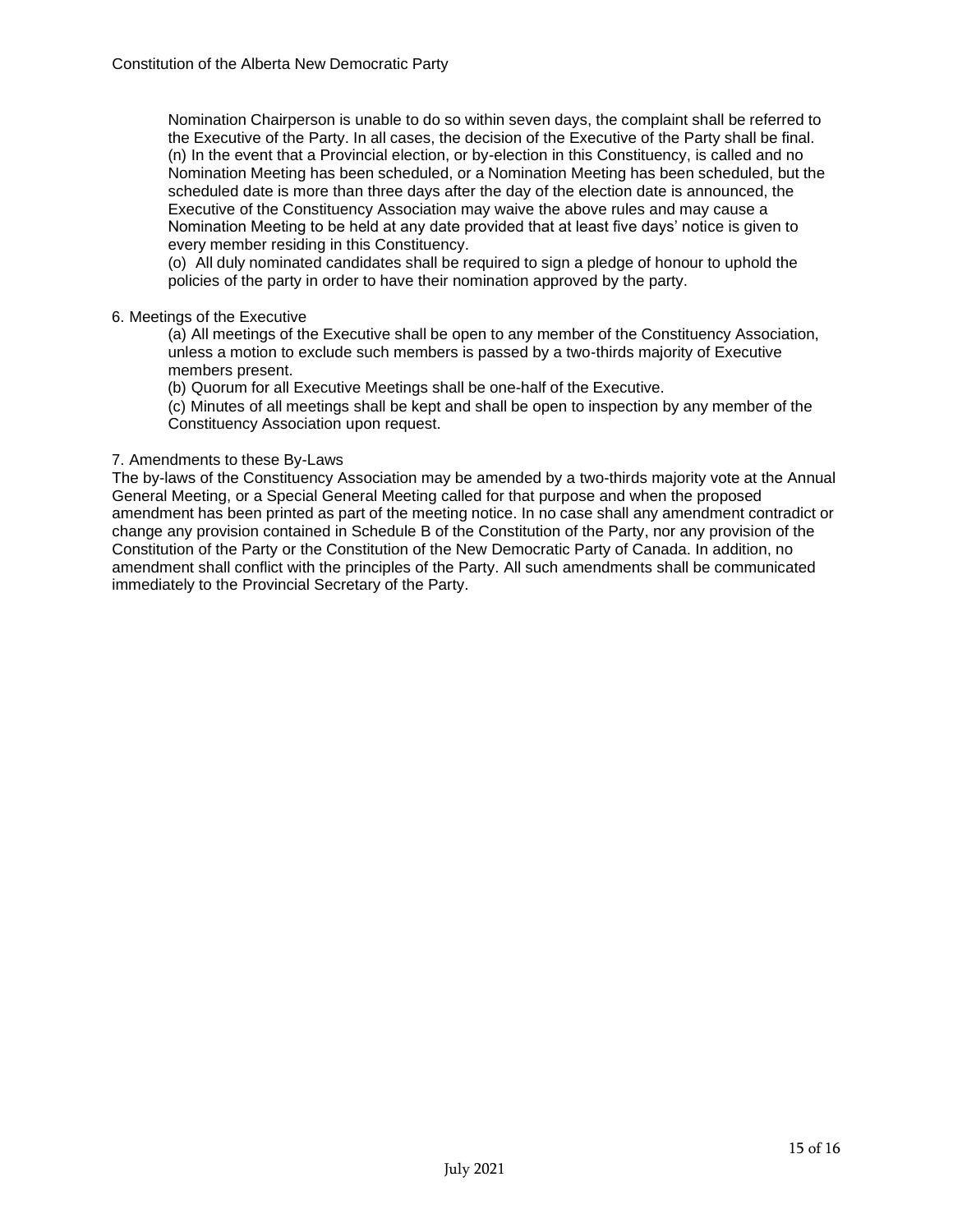Nomination Chairperson is unable to do so within seven days, the complaint shall be referred to the Executive of the Party. In all cases, the decision of the Executive of the Party shall be final. (n) In the event that a Provincial election, or by-election in this Constituency, is called and no Nomination Meeting has been scheduled, or a Nomination Meeting has been scheduled, but the scheduled date is more than three days after the day of the election date is announced, the Executive of the Constituency Association may waive the above rules and may cause a Nomination Meeting to be held at any date provided that at least five days' notice is given to every member residing in this Constituency.

(o) All duly nominated candidates shall be required to sign a pledge of honour to uphold the policies of the party in order to have their nomination approved by the party.

#### 6. Meetings of the Executive

(a) All meetings of the Executive shall be open to any member of the Constituency Association, unless a motion to exclude such members is passed by a two-thirds majority of Executive members present.

(b) Quorum for all Executive Meetings shall be one-half of the Executive.

(c) Minutes of all meetings shall be kept and shall be open to inspection by any member of the Constituency Association upon request.

## 7. Amendments to these By-Laws

The by-laws of the Constituency Association may be amended by a two-thirds majority vote at the Annual General Meeting, or a Special General Meeting called for that purpose and when the proposed amendment has been printed as part of the meeting notice. In no case shall any amendment contradict or change any provision contained in Schedule B of the Constitution of the Party, nor any provision of the Constitution of the Party or the Constitution of the New Democratic Party of Canada. In addition, no amendment shall conflict with the principles of the Party. All such amendments shall be communicated immediately to the Provincial Secretary of the Party.